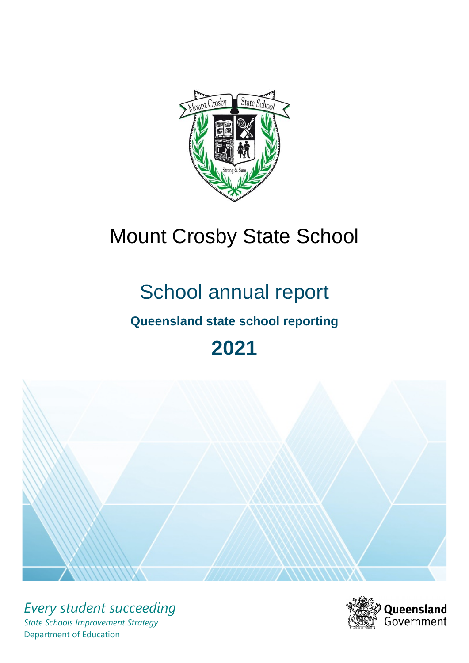

# Mount Crosby State School

# School annual report

# **Queensland state school reporting**

# **2021**



*Every student succeeding State Schools Improvement Strategy* Department of Education

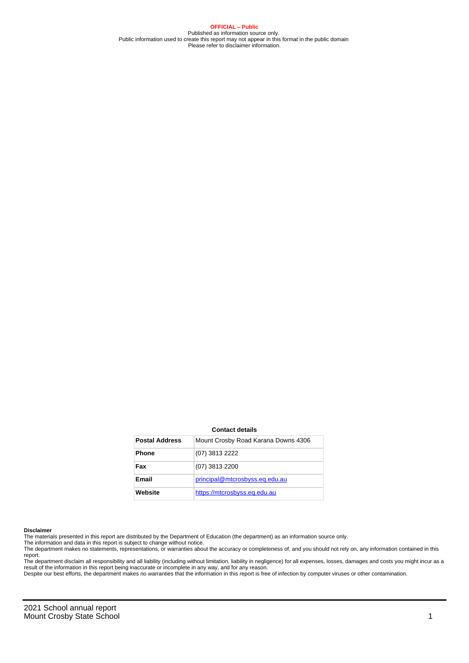**OFFICIAL – Public** Published as information source only. Public information used to create this report may not appear in this format in the public domain Please refer to disclaimer information.

#### **Contact details**

| <b>Postal Address</b> | Mount Crosby Road Karana Downs 4306 |
|-----------------------|-------------------------------------|
| <b>Phone</b>          | (07) 3813 2222                      |
| Fax                   | (07) 3813 2200                      |
| <b>Email</b>          | principal@mtcrosbyss.eq.edu.au      |
| Website               | https://mtcrosbyss.eq.edu.au        |

#### **Disclaimer**

The materials presented in this report are distributed by the Department of Education (the department) as an information source only.

The information and data in this report is subject to change without notice.<br>The department makes no statements, representations, or warranties about the accuracy or completeness of, and you should not rely on, any informa report.

The department disclaim all responsibility and all liability (including without limitation, liability in negligence) for all expenses, losses, damages and costs you might incur as a result of the information in this report being inaccurate or incomplete in any way, and for any reason.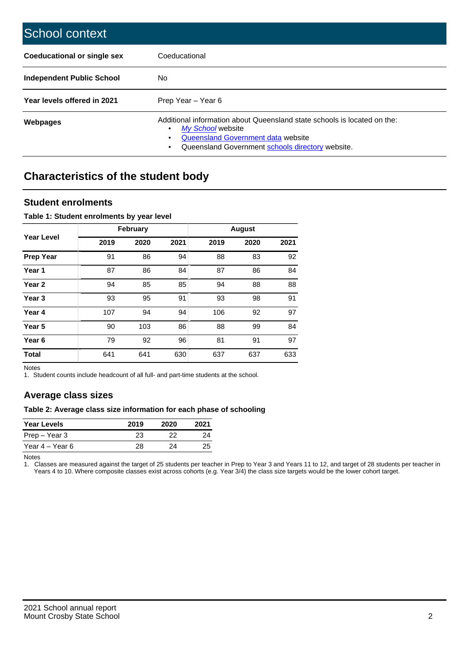| School context                   |                                                                                                                                                                                              |
|----------------------------------|----------------------------------------------------------------------------------------------------------------------------------------------------------------------------------------------|
| Coeducational or single sex      | Coeducational                                                                                                                                                                                |
| <b>Independent Public School</b> | No.                                                                                                                                                                                          |
| Year levels offered in 2021      | Prep Year - Year 6                                                                                                                                                                           |
| Webpages                         | Additional information about Queensland state schools is located on the:<br>My School website<br>Queensland Government data website<br>Queensland Government schools directory website.<br>٠ |

# **Characteristics of the student body**

## **Student enrolments**

### **Table 1: Student enrolments by year level**

|                   |      | <b>February</b> |      |      | <b>August</b> |      |
|-------------------|------|-----------------|------|------|---------------|------|
| <b>Year Level</b> | 2019 | 2020            | 2021 | 2019 | 2020          | 2021 |
| <b>Prep Year</b>  | 91   | 86              | 94   | 88   | 83            | 92   |
| Year 1            | 87   | 86              | 84   | 87   | 86            | 84   |
| Year 2            | 94   | 85              | 85   | 94   | 88            | 88   |
| Year <sub>3</sub> | 93   | 95              | 91   | 93   | 98            | 91   |
| Year 4            | 107  | 94              | 94   | 106  | 92            | 97   |
| Year <sub>5</sub> | 90   | 103             | 86   | 88   | 99            | 84   |
| Year <sub>6</sub> | 79   | 92              | 96   | 81   | 91            | 97   |
| <b>Total</b>      | 641  | 641             | 630  | 637  | 637           | 633  |

Notes

1. Student counts include headcount of all full- and part-time students at the school.

## **Average class sizes**

### **Table 2: Average class size information for each phase of schooling**

| <b>Year Levels</b> | 2019 | 2020 | 2021 |
|--------------------|------|------|------|
| Prep – Year 3      | 23   | つつ   | 24   |
| Year 4 – Year 6    | 28   | 24   | 25   |

Notes

1. Classes are measured against the target of 25 students per teacher in Prep to Year 3 and Years 11 to 12, and target of 28 students per teacher in Years 4 to 10. Where composite classes exist across cohorts (e.g. Year 3/4) the class size targets would be the lower cohort target.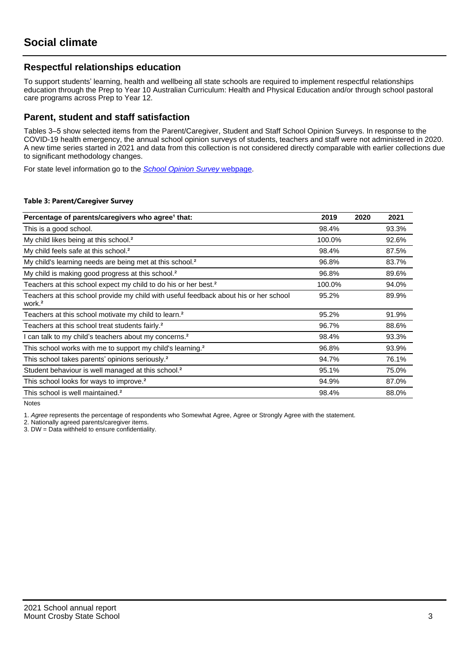## **Respectful relationships education**

To support students' learning, health and wellbeing all state schools are required to implement respectful relationships education through the Prep to Year 10 Australian Curriculum: Health and Physical Education and/or through school pastoral care programs across Prep to Year 12.

## **Parent, student and staff satisfaction**

Tables 3–5 show selected items from the Parent/Caregiver, Student and Staff School Opinion Surveys. In response to the COVID-19 health emergency, the annual school opinion surveys of students, teachers and staff were not administered in 2020. A new time series started in 2021 and data from this collection is not considered directly comparable with earlier collections due to significant methodology changes.

For state level information go to the **[School Opinion Survey](https://qed.qld.gov.au/publications/reports/statistics/schooling/schools/schoolopinionsurvey) webpage**.

#### **Table 3: Parent/Caregiver Survey**

| Percentage of parents/caregivers who agree <sup>1</sup> that:                                               | 2019   | 2020 | 2021  |
|-------------------------------------------------------------------------------------------------------------|--------|------|-------|
| This is a good school.                                                                                      | 98.4%  |      | 93.3% |
| My child likes being at this school. <sup>2</sup>                                                           | 100.0% |      | 92.6% |
| My child feels safe at this school. <sup>2</sup>                                                            | 98.4%  |      | 87.5% |
| My child's learning needs are being met at this school. <sup>2</sup>                                        | 96.8%  |      | 83.7% |
| My child is making good progress at this school. <sup>2</sup>                                               | 96.8%  |      | 89.6% |
| Teachers at this school expect my child to do his or her best. <sup>2</sup>                                 | 100.0% |      | 94.0% |
| Teachers at this school provide my child with useful feedback about his or her school<br>work. <sup>2</sup> | 95.2%  |      | 89.9% |
| Teachers at this school motivate my child to learn. <sup>2</sup>                                            | 95.2%  |      | 91.9% |
| Teachers at this school treat students fairly. <sup>2</sup>                                                 | 96.7%  |      | 88.6% |
| I can talk to my child's teachers about my concerns. <sup>2</sup>                                           | 98.4%  |      | 93.3% |
| This school works with me to support my child's learning. <sup>2</sup>                                      | 96.8%  |      | 93.9% |
| This school takes parents' opinions seriously. <sup>2</sup>                                                 | 94.7%  |      | 76.1% |
| Student behaviour is well managed at this school. <sup>2</sup>                                              | 95.1%  |      | 75.0% |
| This school looks for ways to improve. <sup>2</sup>                                                         | 94.9%  |      | 87.0% |
| This school is well maintained. <sup>2</sup>                                                                | 98.4%  |      | 88.0% |

Notes

1. Agree represents the percentage of respondents who Somewhat Agree, Agree or Strongly Agree with the statement.

2. Nationally agreed parents/caregiver items.

3. DW = Data withheld to ensure confidentiality.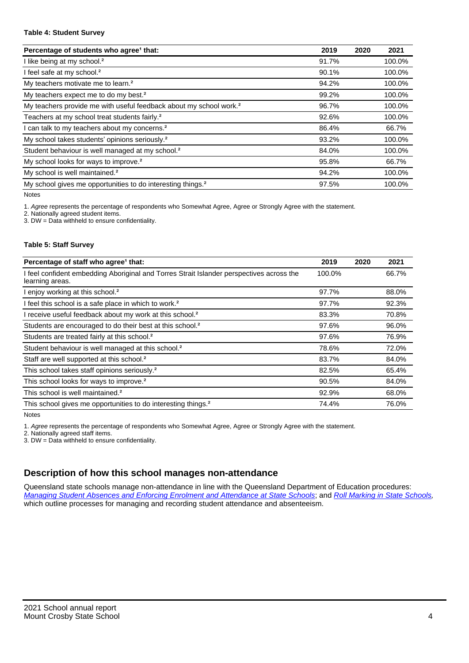#### **Table 4: Student Survey**

| Percentage of students who agree <sup>1</sup> that:                            | 2019  | 2020 | 2021   |
|--------------------------------------------------------------------------------|-------|------|--------|
| I like being at my school. <sup>2</sup>                                        | 91.7% |      | 100.0% |
| I feel safe at my school. <sup>2</sup>                                         | 90.1% |      | 100.0% |
| My teachers motivate me to learn. <sup>2</sup>                                 | 94.2% |      | 100.0% |
| My teachers expect me to do my best. <sup>2</sup>                              | 99.2% |      | 100.0% |
| My teachers provide me with useful feedback about my school work. <sup>2</sup> | 96.7% |      | 100.0% |
| Teachers at my school treat students fairly. <sup>2</sup>                      | 92.6% |      | 100.0% |
| I can talk to my teachers about my concerns. <sup>2</sup>                      | 86.4% |      | 66.7%  |
| My school takes students' opinions seriously. <sup>2</sup>                     | 93.2% |      | 100.0% |
| Student behaviour is well managed at my school. <sup>2</sup>                   | 84.0% |      | 100.0% |
| My school looks for ways to improve. <sup>2</sup>                              | 95.8% |      | 66.7%  |
| My school is well maintained. <sup>2</sup>                                     | 94.2% |      | 100.0% |
| My school gives me opportunities to do interesting things. <sup>2</sup>        | 97.5% |      | 100.0% |

Notes

1. Agree represents the percentage of respondents who Somewhat Agree, Agree or Strongly Agree with the statement.

2. Nationally agreed student items.

3. DW = Data withheld to ensure confidentiality.

### **Table 5: Staff Survey**

| Percentage of staff who agree <sup>1</sup> that:                                                            | 2019   | 2020 | 2021  |
|-------------------------------------------------------------------------------------------------------------|--------|------|-------|
| I feel confident embedding Aboriginal and Torres Strait Islander perspectives across the<br>learning areas. | 100.0% |      | 66.7% |
| I enjoy working at this school. <sup>2</sup>                                                                | 97.7%  |      | 88.0% |
| I feel this school is a safe place in which to work. <sup>2</sup>                                           | 97.7%  |      | 92.3% |
| I receive useful feedback about my work at this school. <sup>2</sup>                                        | 83.3%  |      | 70.8% |
| Students are encouraged to do their best at this school. <sup>2</sup>                                       | 97.6%  |      | 96.0% |
| Students are treated fairly at this school. <sup>2</sup>                                                    | 97.6%  |      | 76.9% |
| Student behaviour is well managed at this school. <sup>2</sup>                                              | 78.6%  |      | 72.0% |
| Staff are well supported at this school. <sup>2</sup>                                                       | 83.7%  |      | 84.0% |
| This school takes staff opinions seriously. <sup>2</sup>                                                    | 82.5%  |      | 65.4% |
| This school looks for ways to improve. <sup>2</sup>                                                         | 90.5%  |      | 84.0% |
| This school is well maintained. <sup>2</sup>                                                                | 92.9%  |      | 68.0% |
| This school gives me opportunities to do interesting things. <sup>2</sup>                                   | 74.4%  |      | 76.0% |

Notes

1. Agree represents the percentage of respondents who Somewhat Agree, Agree or Strongly Agree with the statement.

2. Nationally agreed staff items.

3. DW = Data withheld to ensure confidentiality.

## **Description of how this school manages non-attendance**

Queensland state schools manage non-attendance in line with the Queensland Department of Education procedures: [Managing Student Absences and Enforcing Enrolment and Attendance at State Schools](https://ppr.qed.qld.gov.au/pp/managing-student-absences-and-enforcing-enrolment-and-attendance-at-state-schools-procedure); and [Roll Marking in State Schools,](https://ppr.qed.qld.gov.au/pp/roll-marking-in-state-schools-procedure) which outline processes for managing and recording student attendance and absenteeism.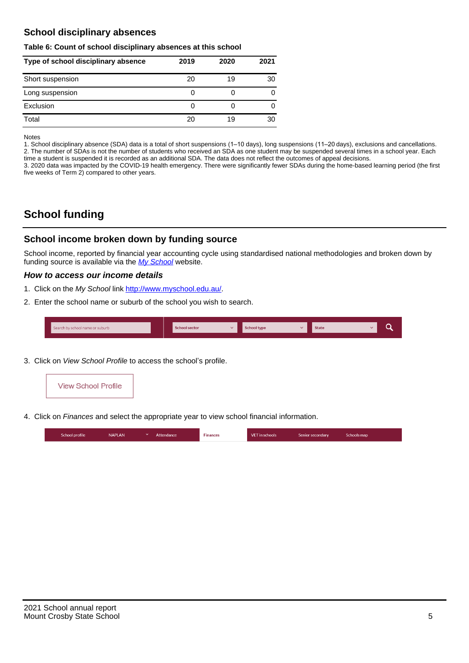## **School disciplinary absences**

#### **Table 6: Count of school disciplinary absences at this school**

| Type of school disciplinary absence | 2019 | 2020 | 2021 |
|-------------------------------------|------|------|------|
| Short suspension                    | 20   | 19   | 30   |
| Long suspension                     | 0    |      |      |
| Exclusion                           | 0    |      |      |
| Total                               | 20   | 19   | 30   |

Notes

1. School disciplinary absence (SDA) data is a total of short suspensions (1–10 days), long suspensions (11–20 days), exclusions and cancellations. 2. The number of SDAs is not the number of students who received an SDA as one student may be suspended several times in a school year. Each time a student is suspended it is recorded as an additional SDA. The data does not reflect the outcomes of appeal decisions.

3. 2020 data was impacted by the COVID-19 health emergency. There were significantly fewer SDAs during the home-based learning period (the first five weeks of Term 2) compared to other years.

# **School funding**

## **School income broken down by funding source**

School income, reported by financial year accounting cycle using standardised national methodologies and broken down by funding source is available via the [My School](http://www.myschool.edu.au/) website.

### **How to access our income details**

- 1. Click on the My School link <http://www.myschool.edu.au/>.
- 2. Enter the school name or suburb of the school you wish to search.

|  | Search by school name or suburb |  | <b>School sector</b> |  | $\sim$ and $\sim$ represents the set of $\sim$ | <b>State</b> |  |  |  |
|--|---------------------------------|--|----------------------|--|------------------------------------------------|--------------|--|--|--|
|--|---------------------------------|--|----------------------|--|------------------------------------------------|--------------|--|--|--|

3. Click on View School Profile to access the school's profile.



4. Click on Finances and select the appropriate year to view school financial information.

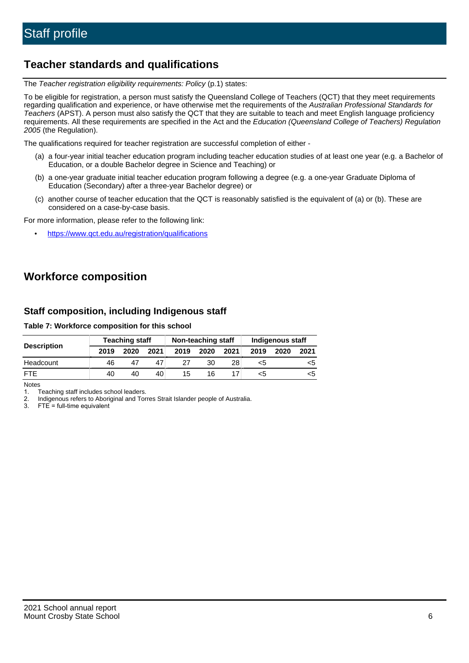## **Teacher standards and qualifications**

The Teacher registration eligibility requirements: Policy (p.1) states:

To be eligible for registration, a person must satisfy the Queensland College of Teachers (QCT) that they meet requirements regarding qualification and experience, or have otherwise met the requirements of the Australian Professional Standards for Teachers (APST). A person must also satisfy the QCT that they are suitable to teach and meet English language proficiency requirements. All these requirements are specified in the Act and the Education (Queensland College of Teachers) Regulation 2005 (the Regulation).

The qualifications required for teacher registration are successful completion of either -

- (a) a four-year initial teacher education program including teacher education studies of at least one year (e.g. a Bachelor of Education, or a double Bachelor degree in Science and Teaching) or
- (b) a one-year graduate initial teacher education program following a degree (e.g. a one-year Graduate Diploma of Education (Secondary) after a three-year Bachelor degree) or
- (c) another course of teacher education that the QCT is reasonably satisfied is the equivalent of (a) or (b). These are considered on a case-by-case basis.

For more information, please refer to the following link:

• <https://www.qct.edu.au/registration/qualifications>

# **Workforce composition**

## **Staff composition, including Indigenous staff**

**Table 7: Workforce composition for this school**

|                    |      | <b>Teaching staff</b> |      | Non-teaching staff |      |      | Indigenous staff |      |      |
|--------------------|------|-----------------------|------|--------------------|------|------|------------------|------|------|
| <b>Description</b> | 2019 | 2020                  | 2021 | 2019               | 2020 | 2021 | 2019             | 2020 | 2021 |
| Headcount          | 46   |                       | 47   |                    | 30   | 28   | <5               |      | <5   |
| <b>FTF</b>         | 40   | 40                    | 40   | 15                 | 16   |      | <5               |      | <ລ   |

Notes

1. Teaching staff includes school leaders.

2. Indigenous refers to Aboriginal and Torres Strait Islander people of Australia.

3. FTE = full-time equivalent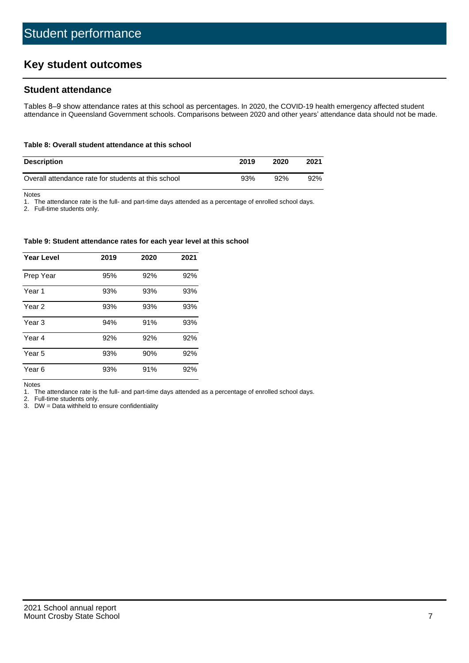# **Key student outcomes**

## **Student attendance**

Tables 8–9 show attendance rates at this school as percentages. In 2020, the COVID-19 health emergency affected student attendance in Queensland Government schools. Comparisons between 2020 and other years' attendance data should not be made.

#### **Table 8: Overall student attendance at this school**

| <b>Description</b>                                  | 2019 | 2020 | 2021 |
|-----------------------------------------------------|------|------|------|
| Overall attendance rate for students at this school | 93%  | 92%  | 92%  |

Notes

1. The attendance rate is the full- and part-time days attended as a percentage of enrolled school days.

2. Full-time students only.

#### **Table 9: Student attendance rates for each year level at this school**

| <b>Year Level</b> | 2019 | 2020 | 2021 |
|-------------------|------|------|------|
| Prep Year         | 95%  | 92%  | 92%  |
| Year <sub>1</sub> | 93%  | 93%  | 93%  |
| Year 2            | 93%  | 93%  | 93%  |
| Year 3            | 94%  | 91%  | 93%  |
| Year 4            | 92%  | 92%  | 92%  |
| Year 5            | 93%  | 90%  | 92%  |
| Year <sub>6</sub> | 93%  | 91%  | 92%  |

Notes

1. The attendance rate is the full- and part-time days attended as a percentage of enrolled school days.<br>2. Full-time students only.

Full-time students only.

3. DW = Data withheld to ensure confidentiality